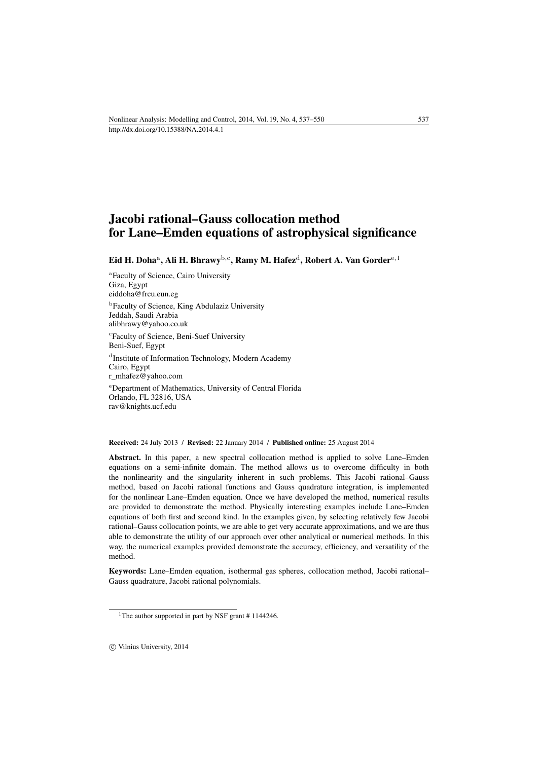# Jacobi rational–Gauss collocation method for Lane–Emden equations of astrophysical significance

Eid H. Doha<sup>a</sup>, Ali H. Bhrawy<sup>b,c</sup>, Ramy M. Hafez<sup>d</sup>, Robert A. Van Gorder<sup>e, [1](#page-0-0)</sup>

a Faculty of Science, Cairo University Giza, Egypt [eiddoha@frcu.eun.eg](mailto:eiddoha@frcu.eun.eg)

b Faculty of Science, King Abdulaziz University Jeddah, Saudi Arabia [alibhrawy@yahoo.co.uk](mailto:alibhrawy@yahoo.co.uk) c Faculty of Science, Beni-Suef University

Beni-Suef, Egypt d Institute of Information Technology, Modern Academy Cairo, Egypt [r\\_mhafez@yahoo.com](mailto:r_mhafez@yahoo.com) <sup>e</sup>Department of Mathematics, University of Central Florida Orlando, FL 32816, USA [rav@knights.ucf.edu](mailto:rav@knights.ucf.edu)

Received: 24 July 2013 / Revised: 22 January 2014 / Published online: 25 August 2014

Abstract. In this paper, a new spectral collocation method is applied to solve Lane–Emden equations on a semi-infinite domain. The method allows us to overcome difficulty in both the nonlinearity and the singularity inherent in such problems. This Jacobi rational–Gauss method, based on Jacobi rational functions and Gauss quadrature integration, is implemented for the nonlinear Lane–Emden equation. Once we have developed the method, numerical results are provided to demonstrate the method. Physically interesting examples include Lane–Emden equations of both first and second kind. In the examples given, by selecting relatively few Jacobi rational–Gauss collocation points, we are able to get very accurate approximations, and we are thus able to demonstrate the utility of our approach over other analytical or numerical methods. In this way, the numerical examples provided demonstrate the accuracy, efficiency, and versatility of the method.

Keywords: Lane–Emden equation, isothermal gas spheres, collocation method, Jacobi rational– Gauss quadrature, Jacobi rational polynomials.

c Vilnius University, 2014

<span id="page-0-0"></span><sup>&</sup>lt;sup>1</sup>The author supported in part by NSF grant # 1144246.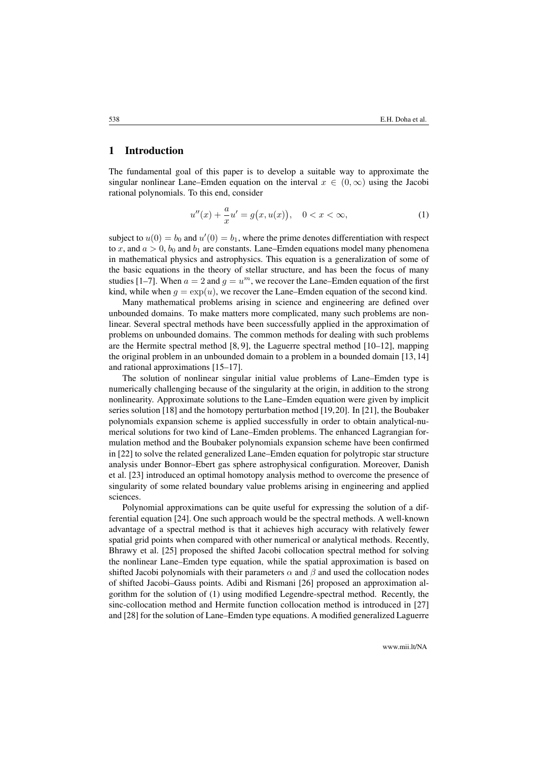#### 1 Introduction

The fundamental goal of this paper is to develop a suitable way to approximate the singular nonlinear Lane–Emden equation on the interval  $x \in (0, \infty)$  using the Jacobi rational polynomials. To this end, consider

<span id="page-1-0"></span>
$$
u''(x) + \frac{a}{x}u' = g(x, u(x)), \quad 0 < x < \infty,\tag{1}
$$

subject to  $u(0) = b_0$  and  $u'(0) = b_1$ , where the prime denotes differentiation with respect to x, and  $a > 0$ ,  $b_0$  and  $b_1$  are constants. Lane–Emden equations model many phenomena in mathematical physics and astrophysics. This equation is a generalization of some of the basic equations in the theory of stellar structure, and has been the focus of many studies [\[1–](#page-11-0)[7\]](#page-11-1). When  $a = 2$  and  $g = u<sup>m</sup>$ , we recover the Lane–Emden equation of the first kind, while when  $q = \exp(u)$ , we recover the Lane–Emden equation of the second kind.

Many mathematical problems arising in science and engineering are defined over unbounded domains. To make matters more complicated, many such problems are nonlinear. Several spectral methods have been successfully applied in the approximation of problems on unbounded domains. The common methods for dealing with such problems are the Hermite spectral method  $[8, 9]$  $[8, 9]$ , the Laguerre spectral method  $[10-12]$  $[10-12]$ , mapping the original problem in an unbounded domain to a problem in a bounded domain [\[13,](#page-12-1) [14\]](#page-12-2) and rational approximations [\[15](#page-12-3)[–17\]](#page-12-4).

The solution of nonlinear singular initial value problems of Lane–Emden type is numerically challenging because of the singularity at the origin, in addition to the strong nonlinearity. Approximate solutions to the Lane–Emden equation were given by implicit series solution [\[18\]](#page-12-5) and the homotopy perturbation method [\[19,](#page-12-6)[20\]](#page-12-7). In [\[21\]](#page-12-8), the Boubaker polynomials expansion scheme is applied successfully in order to obtain analytical-numerical solutions for two kind of Lane–Emden problems. The enhanced Lagrangian formulation method and the Boubaker polynomials expansion scheme have been confirmed in [\[22\]](#page-12-9) to solve the related generalized Lane–Emden equation for polytropic star structure analysis under Bonnor–Ebert gas sphere astrophysical configuration. Moreover, Danish et al. [\[23\]](#page-12-10) introduced an optimal homotopy analysis method to overcome the presence of singularity of some related boundary value problems arising in engineering and applied sciences.

Polynomial approximations can be quite useful for expressing the solution of a differential equation [\[24\]](#page-12-11). One such approach would be the spectral methods. A well-known advantage of a spectral method is that it achieves high accuracy with relatively fewer spatial grid points when compared with other numerical or analytical methods. Recently, Bhrawy et al. [\[25\]](#page-12-12) proposed the shifted Jacobi collocation spectral method for solving the nonlinear Lane–Emden type equation, while the spatial approximation is based on shifted Jacobi polynomials with their parameters  $\alpha$  and  $\beta$  and used the collocation nodes of shifted Jacobi–Gauss points. Adibi and Rismani [\[26\]](#page-12-13) proposed an approximation algorithm for the solution of [\(1\)](#page-1-0) using modified Legendre-spectral method. Recently, the sinc-collocation method and Hermite function collocation method is introduced in [\[27\]](#page-12-14) and [\[28\]](#page-12-15) for the solution of Lane–Emden type equations. A modified generalized Laguerre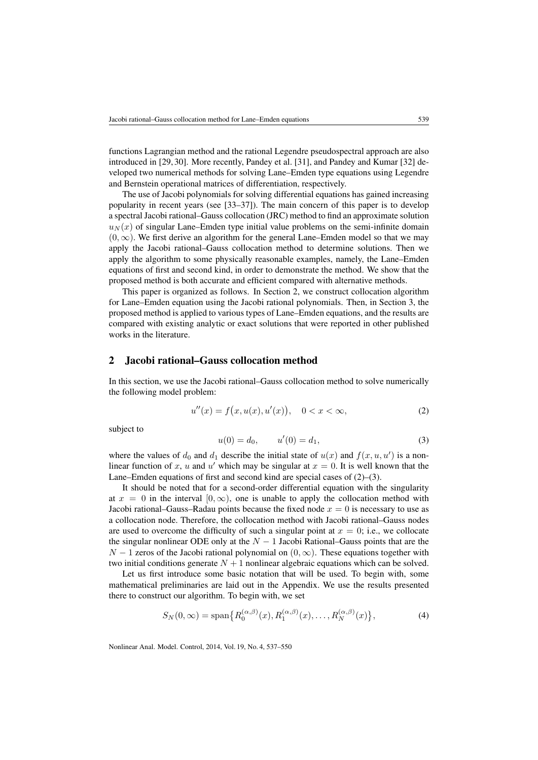functions Lagrangian method and the rational Legendre pseudospectral approach are also introduced in [\[29,](#page-13-0) [30\]](#page-13-1). More recently, Pandey et al. [\[31\]](#page-13-2), and Pandey and Kumar [\[32\]](#page-13-3) developed two numerical methods for solving Lane–Emden type equations using Legendre and Bernstein operational matrices of differentiation, respectively.

The use of Jacobi polynomials for solving differential equations has gained increasing popularity in recent years (see [\[33–](#page-13-4)[37\]](#page-13-5)). The main concern of this paper is to develop a spectral Jacobi rational–Gauss collocation (JRC) method to find an approximate solution  $u_N(x)$  of singular Lane–Emden type initial value problems on the semi-infinite domain  $(0, \infty)$ . We first derive an algorithm for the general Lane–Emden model so that we may apply the Jacobi rational–Gauss collocation method to determine solutions. Then we apply the algorithm to some physically reasonable examples, namely, the Lane–Emden equations of first and second kind, in order to demonstrate the method. We show that the proposed method is both accurate and efficient compared with alternative methods.

This paper is organized as follows. In Section [2,](#page-2-0) we construct collocation algorithm for Lane–Emden equation using the Jacobi rational polynomials. Then, in Section [3,](#page-4-0) the proposed method is applied to various types of Lane–Emden equations, and the results are compared with existing analytic or exact solutions that were reported in other published works in the literature.

### <span id="page-2-0"></span>2 Jacobi rational–Gauss collocation method

In this section, we use the Jacobi rational–Gauss collocation method to solve numerically the following model problem:

<span id="page-2-1"></span>
$$
u''(x) = f(x, u(x), u'(x)), \quad 0 < x < \infty,\tag{2}
$$

subject to

<span id="page-2-2"></span>
$$
u(0) = d_0, \qquad u'(0) = d_1,\tag{3}
$$

where the values of  $d_0$  and  $d_1$  describe the initial state of  $u(x)$  and  $f(x, u, u')$  is a nonlinear function of x, u and u' which may be singular at  $x = 0$ . It is well known that the Lane–Emden equations of first and second kind are special cases of [\(2\)](#page-2-1)–[\(3\)](#page-2-2).

It should be noted that for a second-order differential equation with the singularity at  $x = 0$  in the interval  $[0, \infty)$ , one is unable to apply the collocation method with Jacobi rational–Gauss–Radau points because the fixed node  $x = 0$  is necessary to use as a collocation node. Therefore, the collocation method with Jacobi rational–Gauss nodes are used to overcome the difficulty of such a singular point at  $x = 0$ ; i.e., we collocate the singular nonlinear ODE only at the  $N - 1$  Jacobi Rational–Gauss points that are the  $N-1$  zeros of the Jacobi rational polynomial on  $(0, \infty)$ . These equations together with two initial conditions generate  $N + 1$  nonlinear algebraic equations which can be solved.

Let us first introduce some basic notation that will be used. To begin with, some mathematical preliminaries are laid out in the Appendix. We use the results presented there to construct our algorithm. To begin with, we set

$$
S_N(0,\infty) = \text{span}\{R_0^{(\alpha,\beta)}(x), R_1^{(\alpha,\beta)}(x), \dots, R_N^{(\alpha,\beta)}(x)\},\tag{4}
$$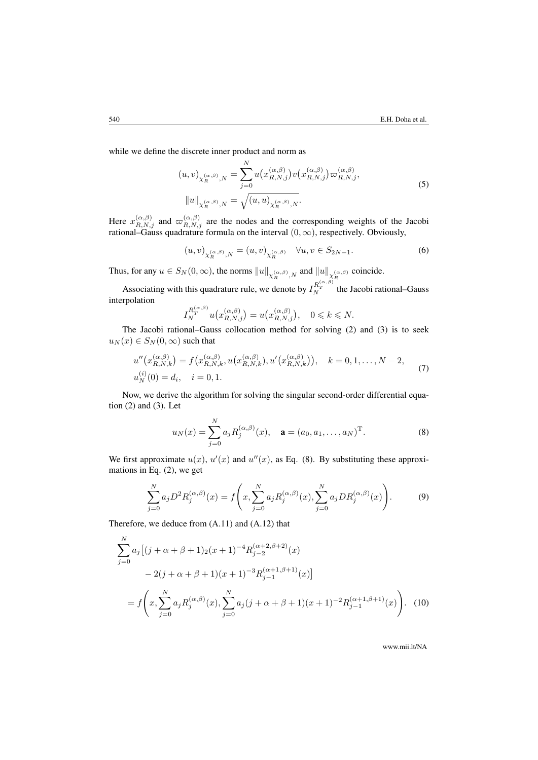while we define the discrete inner product and norm as

$$
(u,v)_{\chi_R^{(\alpha,\beta)},N} = \sum_{j=0}^N u(x_{R,N,j}^{(\alpha,\beta)})v(x_{R,N,j}^{(\alpha,\beta)})\varpi_{R,N,j}^{(\alpha,\beta)},
$$
  

$$
||u||_{\chi_R^{(\alpha,\beta)},N} = \sqrt{(u,u)_{\chi_R^{(\alpha,\beta)},N}}.
$$
 (5)

Here  $x_{R,N,j}^{(\alpha,\beta)}$  and  $\varpi_{R,N,j}^{(\alpha,\beta)}$  are the nodes and the corresponding weights of the Jacobi rational–Gauss quadrature formula on the interval  $(0, \infty)$ , respectively. Obviously,

$$
(u, v)_{\chi_R^{(\alpha, \beta)}, N} = (u, v)_{\chi_R^{(\alpha, \beta)}} \quad \forall u, v \in S_{2N-1}.
$$
 (6)

Thus, for any  $u \in S_N(0, \infty)$ , the norms  $||u||_{\chi_R^{(\alpha,\beta)},N}$  and  $||u||_{\chi_R^{(\alpha,\beta)}}$  coincide.

Associating with this quadrature rule, we denote by  $I_N^{R_T^{(\alpha,\beta)}}$  the Jacobi rational–Gauss interpolation

$$
I_N^{R_T^{(\alpha,\beta)}}u(x_{R,N,j}^{(\alpha,\beta)}) = u(x_{R,N,j}^{(\alpha,\beta)}), \quad 0 \leq k \leq N.
$$

The Jacobi rational–Gauss collocation method for solving [\(2\)](#page-2-1) and [\(3\)](#page-2-2) is to seek  $u_N(x) \in S_N(0,\infty)$  such that

$$
u''(x_{R,N,k}^{(\alpha,\beta)}) = f(x_{R,N,k}^{(\alpha,\beta)}, u(x_{R,N,k}^{(\alpha,\beta)}), u'(x_{R,N,k}^{(\alpha,\beta)})), \quad k = 0, 1, ..., N-2,
$$
  

$$
u_N^{(i)}(0) = d_i, \quad i = 0, 1.
$$
 (7)

Now, we derive the algorithm for solving the singular second-order differential equation  $(2)$  and  $(3)$ . Let

<span id="page-3-0"></span>
$$
u_N(x) = \sum_{j=0}^N a_j R_j^{(\alpha,\beta)}(x), \quad \mathbf{a} = (a_0, a_1, \dots, a_N)^{\mathrm{T}}.
$$
 (8)

We first approximate  $u(x)$ ,  $u'(x)$  and  $u''(x)$ , as Eq. [\(8\)](#page-3-0). By substituting these approximations in Eq. [\(2\)](#page-2-1), we get

<span id="page-3-1"></span>
$$
\sum_{j=0}^{N} a_j D^2 R_j^{(\alpha,\beta)}(x) = f\left(x, \sum_{j=0}^{N} a_j R_j^{(\alpha,\beta)}(x), \sum_{j=0}^{N} a_j D R_j^{(\alpha,\beta)}(x)\right).
$$
 (9)

Therefore, we deduce from [\(A.11\)](#page-9-0) and [\(A.12\)](#page-10-0) that

$$
\sum_{j=0}^{N} a_j \left[ (j + \alpha + \beta + 1)_2 (x+1)^{-4} R_{j-2}^{(\alpha+2,\beta+2)}(x) - 2(j + \alpha + \beta + 1)(x+1)^{-3} R_{j-1}^{(\alpha+1,\beta+1)}(x) \right]
$$
  
=  $f\left(x, \sum_{j=0}^{N} a_j R_j^{(\alpha,\beta)}(x), \sum_{j=0}^{N} a_j (j + \alpha + \beta + 1)(x+1)^{-2} R_{j-1}^{(\alpha+1,\beta+1)}(x) \right).$  (10)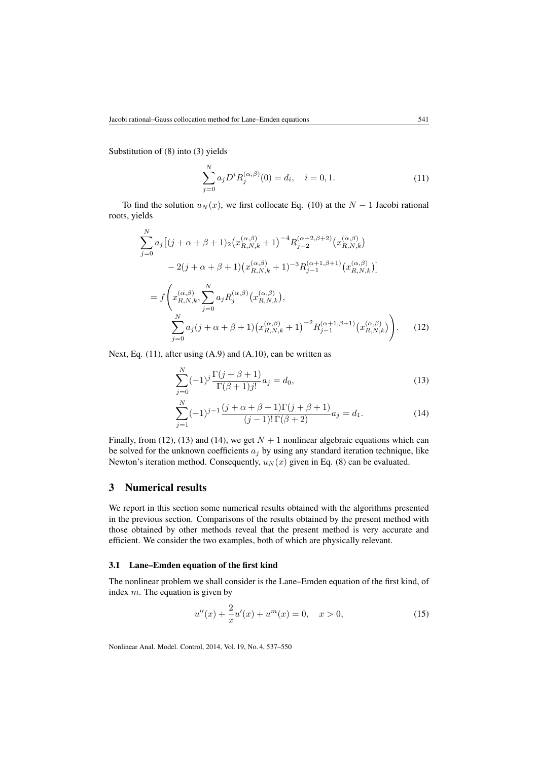<span id="page-4-1"></span>Substitution of [\(8\)](#page-3-0) into [\(3\)](#page-2-2) yields

$$
\sum_{j=0}^{N} a_j D^i R_j^{(\alpha,\beta)}(0) = d_i, \quad i = 0, 1.
$$
 (11)

To find the solution  $u_N(x)$ , we first collocate Eq. [\(10\)](#page-3-1) at the  $N-1$  Jacobi rational roots, yields

$$
\sum_{j=0}^{N} a_j \left[ (j + \alpha + \beta + 1)_2 \left( x_{R,N,k}^{(\alpha,\beta)} + 1 \right)^{-4} R_{j-2}^{(\alpha+2,\beta+2)} \left( x_{R,N,k}^{(\alpha,\beta)} \right) \right]
$$
  
\n
$$
- 2(j + \alpha + \beta + 1) \left( x_{R,N,k}^{(\alpha,\beta)} + 1 \right)^{-3} R_{j-1}^{(\alpha+1,\beta+1)} \left( x_{R,N,k}^{(\alpha,\beta)} \right) \right]
$$
  
\n
$$
= f \left( x_{R,N,k}^{(\alpha,\beta)}, \sum_{j=0}^{N} a_j R_j^{(\alpha,\beta)} \left( x_{R,N,k}^{(\alpha,\beta)} \right),
$$
  
\n
$$
\sum_{j=0}^{N} a_j (j + \alpha + \beta + 1) \left( x_{R,N,k}^{(\alpha,\beta)} + 1 \right)^{-2} R_{j-1}^{(\alpha+1,\beta+1)} \left( x_{R,N,k}^{(\alpha,\beta)} \right) \right).
$$
 (12)

Next, Eq.  $(11)$ , after using  $(A.9)$  and  $(A.10)$ , can be written as

<span id="page-4-3"></span><span id="page-4-2"></span>
$$
\sum_{j=0}^{N} (-1)^{j} \frac{\Gamma(j+\beta+1)}{\Gamma(\beta+1)j!} a_j = d_0,
$$
\n(13)

<span id="page-4-4"></span>
$$
\sum_{j=1}^{N} (-1)^{j-1} \frac{(j+\alpha+\beta+1)\Gamma(j+\beta+1)}{(j-1)!\,\Gamma(\beta+2)} a_j = d_1.
$$
 (14)

Finally, from [\(12\)](#page-4-2), [\(13\)](#page-4-3) and [\(14\)](#page-4-4), we get  $N + 1$  nonlinear algebraic equations which can be solved for the unknown coefficients  $a_j$  by using any standard iteration technique, like Newton's iteration method. Consequently,  $u_N(x)$  given in Eq. [\(8\)](#page-3-0) can be evaluated.

# <span id="page-4-0"></span>3 Numerical results

We report in this section some numerical results obtained with the algorithms presented in the previous section. Comparisons of the results obtained by the present method with those obtained by other methods reveal that the present method is very accurate and efficient. We consider the two examples, both of which are physically relevant.

#### 3.1 Lane–Emden equation of the first kind

The nonlinear problem we shall consider is the Lane–Emden equation of the first kind, of index m. The equation is given by

<span id="page-4-5"></span>
$$
u''(x) + \frac{2}{x}u'(x) + u^{m}(x) = 0, \quad x > 0,
$$
\n(15)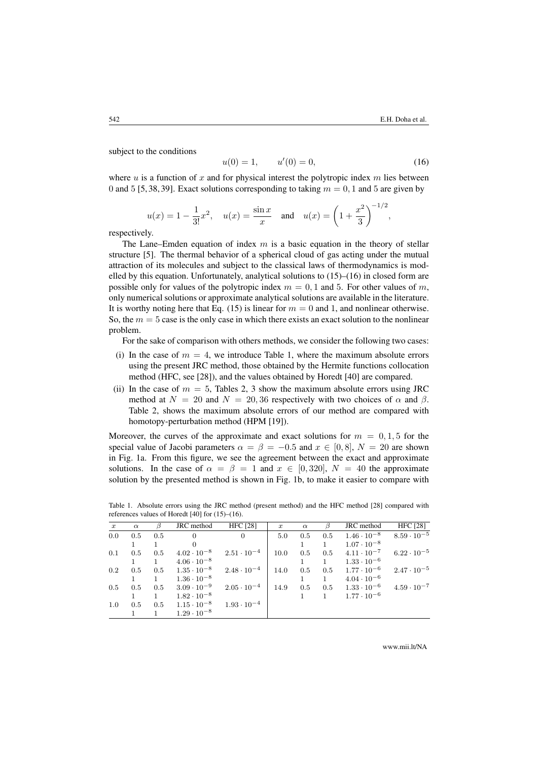subject to the conditions

<span id="page-5-0"></span>
$$
u(0) = 1, \qquad u'(0) = 0,\tag{16}
$$

where  $u$  is a function of  $x$  and for physical interest the polytropic index  $m$  lies between 0 and 5 [\[5,](#page-11-5) [38,](#page-13-6) [39\]](#page-13-7). Exact solutions corresponding to taking  $m = 0, 1$  and 5 are given by

$$
u(x) = 1 - \frac{1}{3!}x^2
$$
,  $u(x) = \frac{\sin x}{x}$  and  $u(x) = \left(1 + \frac{x^2}{3}\right)^{-1/2}$ ,

respectively.

The Lane–Emden equation of index  $m$  is a basic equation in the theory of stellar structure [\[5\]](#page-11-5). The thermal behavior of a spherical cloud of gas acting under the mutual attraction of its molecules and subject to the classical laws of thermodynamics is modelled by this equation. Unfortunately, analytical solutions to  $(15)$ – $(16)$  in closed form are possible only for values of the polytropic index  $m = 0, 1$  and 5. For other values of m, only numerical solutions or approximate analytical solutions are available in the literature. It is worthy noting here that Eq. [\(15\)](#page-4-5) is linear for  $m = 0$  and 1, and nonlinear otherwise. So, the  $m = 5$  case is the only case in which there exists an exact solution to the nonlinear problem.

For the sake of comparison with others methods, we consider the following two cases:

- (i) In the case of  $m = 4$ , we introduce Table [1,](#page-5-1) where the maximum absolute errors using the present JRC method, those obtained by the Hermite functions collocation method (HFC, see [\[28\]](#page-12-15)), and the values obtained by Horedt [\[40\]](#page-13-8) are compared.
- (ii) In the case of  $m = 5$ , Tables [2,](#page-6-0) [3](#page-6-1) show the maximum absolute errors using JRC method at  $N = 20$  and  $N = 20,36$  respectively with two choices of  $\alpha$  and  $\beta$ . Table [2,](#page-6-0) shows the maximum absolute errors of our method are compared with homotopy-perturbation method (HPM [\[19\]](#page-12-6)).

Moreover, the curves of the approximate and exact solutions for  $m = 0, 1, 5$  for the special value of Jacobi parameters  $\alpha = \beta = -0.5$  and  $x \in [0, 8]$ ,  $N = 20$  are shown in Fig. [1a.](#page-6-2) From this figure, we see the agreement between the exact and approximate solutions. In the case of  $\alpha = \beta = 1$  and  $x \in [0, 320]$ ,  $N = 40$  the approximate solution by the presented method is shown in Fig. [1b,](#page-6-2) to make it easier to compare with

| $\boldsymbol{x}$ | $\alpha$ |     | JRC method           | <b>HFC</b> [28]                           | $\boldsymbol{x}$ | $\alpha$ |     | JRC method                       | <b>HFC</b> [28]      |
|------------------|----------|-----|----------------------|-------------------------------------------|------------------|----------|-----|----------------------------------|----------------------|
| 0.0              | 0.5      | 0.5 | 0                    | $\Omega$                                  | 5.0              | 0.5      | 0.5 | $1.46 \cdot 10^{-8}$             | $8.59 \cdot 10^{-5}$ |
|                  |          |     |                      |                                           |                  |          |     | $1.07 \cdot 10^{-8}$             |                      |
| 0.1              | 0.5      | 0.5 |                      | $4.02 \cdot 10^{-8}$ $2.51 \cdot 10^{-4}$ | 10.0             | 0.5      |     | $0.5 \qquad 4.11 \cdot 10^{-7}$  | $6.22 \cdot 10^{-5}$ |
|                  |          |     | $4.06 \cdot 10^{-8}$ |                                           |                  |          |     | $1.33 \cdot 10^{-6}$             |                      |
| 0.2              | 0.5      | 0.5 | $1.35 \cdot 10^{-8}$ | $2.48\cdot 10^{-4}$                       | 14.0             |          |     | $0.5$ $0.5$ $1.77 \cdot 10^{-6}$ | $2.47 \cdot 10^{-5}$ |
|                  |          |     | $1.36 \cdot 10^{-8}$ |                                           |                  |          |     | $4.04 \cdot 10^{-6}$             |                      |
| 0.5              | 0.5      | 0.5 | $3.09\cdot10^{-9}$   | $2.05\cdot10^{-4}$                        | 14.9             | 0.5      |     | $0.5 \qquad 1.33 \cdot 10^{-6}$  | $4.59 \cdot 10^{-7}$ |

1 1  $1.82 \cdot 10^{-8}$  1.93  $\cdot 10^{-4}$  1 1  $1.77 \cdot 10^{-6}$ <br>0.5 0.5 1.15  $\cdot 10^{-8}$  1.93  $\cdot 10^{-4}$ 

1.0 0.5 0.5 1.15  $\cdot$  10<sup>-8</sup> 1 1.29  $\cdot 10^{-8}$ 

<span id="page-5-1"></span>Table 1. Absolute errors using the JRC method (present method) and the HFC method [\[28\]](#page-12-15) compared with references values of Horedt  $[40]$  for  $(15)$ – $(16)$ .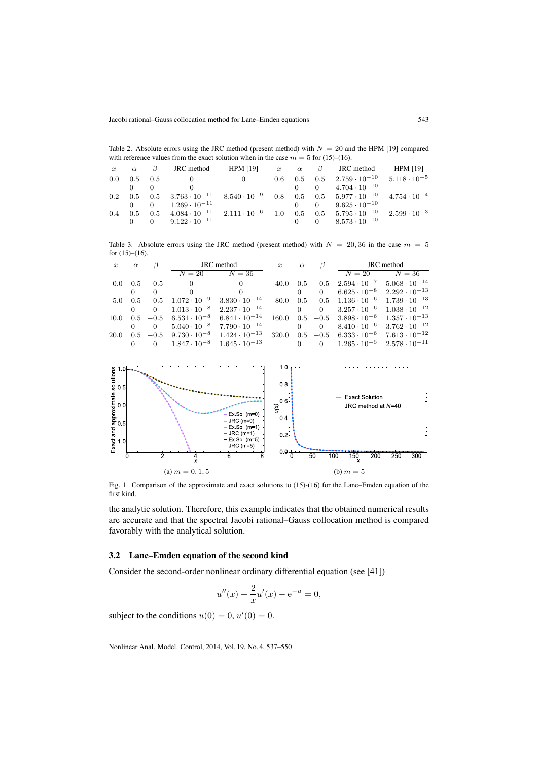<span id="page-6-0"></span>Table 2. Absolute errors using the JRC method (present method) with  $N = 20$  and the HPM [\[19\]](#page-12-6) compared with reference values from the exact solution when in the case  $m = 5$  for [\(15\)](#page-4-5)–[\(16\)](#page-5-0).

| $\boldsymbol{x}$ | $\alpha$       |     | JRC method                                                                | <b>HPM [19]</b> | $\boldsymbol{x}$ | $\alpha$ |                | JRC method                                                                                                              | HPM [19]              |
|------------------|----------------|-----|---------------------------------------------------------------------------|-----------------|------------------|----------|----------------|-------------------------------------------------------------------------------------------------------------------------|-----------------------|
| 0.0              | $0.5\quad 0.5$ |     |                                                                           |                 |                  |          |                | 0.6 0.5 0.5 $2.759 \cdot 10^{-10}$ $5.118 \cdot 10^{-5}$                                                                |                       |
|                  |                |     |                                                                           |                 |                  |          | $\overline{0}$ | $4.704 \cdot 10^{-10}$                                                                                                  |                       |
| 0.2              |                |     |                                                                           |                 |                  |          |                | $0.5$ $0.5$ $3.763 \cdot 10^{-11}$ $8.540 \cdot 10^{-9}$ $0.8$ $0.5$ $0.5$ $5.977 \cdot 10^{-10}$ $4.754 \cdot 10^{-4}$ |                       |
|                  |                |     | $1.269 \cdot 10^{-11}$                                                    |                 |                  |          | $\overline{0}$ | $9.625 \cdot 10^{-10}$                                                                                                  |                       |
| 0.4              | 0.5            | 0.5 | $4.084 \cdot 10^{-11}$ $2.111 \cdot 10^{-6}$ 1.0 0.5 0.5 5.795 $10^{-10}$ |                 |                  |          |                |                                                                                                                         | $2.599 \cdot 10^{-3}$ |
|                  |                |     | $9.122 \cdot 10^{-11}$                                                    |                 |                  |          | $\Omega$       | $8.573 \cdot 10^{-10}$                                                                                                  |                       |

<span id="page-6-1"></span>Table 3. Absolute errors using the JRC method (present method) with  $N = 20,36$  in the case  $m = 5$ for  $(15)–(16)$  $(15)–(16)$  $(15)–(16)$ .

| $\boldsymbol{x}$ | $\alpha$ | $\beta$                    | JRC method     |                                                                                                                           | $\boldsymbol{x}$ | $\alpha$ | $\beta$ | JRC method |                                                                    |
|------------------|----------|----------------------------|----------------|---------------------------------------------------------------------------------------------------------------------------|------------------|----------|---------|------------|--------------------------------------------------------------------|
|                  |          |                            | $N=20$         | $N=36$                                                                                                                    |                  |          |         |            | $N = 20$ $N = 36$                                                  |
|                  |          | $0.0 \quad 0.5 \quad -0.5$ | $\overline{0}$ | $\Omega$                                                                                                                  |                  |          |         |            | 40.0  0.5 $-0.5$ $2.594 \cdot 10^{-7}$ $5.068 \cdot 10^{-14}$      |
|                  |          | $\Omega$                   | $\Omega$       | $\Omega$                                                                                                                  |                  |          |         |            | 0 $6.625 \cdot 10^{-8}$ $2.292 \cdot 10^{-13}$                     |
|                  |          |                            |                | 5.0 0.5 $-0.5$ 1.072 $\cdot 10^{-9}$ 3.830 $\cdot 10^{-14}$                                                               |                  |          |         |            | 80.0  0.5 $-0.5$ 1.136 $\cdot 10^{-6}$ 1.739 $\cdot 10^{-13}$      |
|                  |          |                            |                | 0 $1.013 \cdot 10^{-8}$ $2.237 \cdot 10^{-14}$                                                                            |                  |          |         |            | 0 0 3.257 $\cdot$ 10 <sup>-6</sup> 1.038 $\cdot$ 10 <sup>-12</sup> |
| 10.0             |          |                            |                | $0.5$ $-0.5$ $6.531 \cdot 10^{-8}$ $6.841 \cdot 10^{-14}$                                                                 |                  |          |         |            | $160.0$ $0.5$ $-0.5$ $3.898 \cdot 10^{-6}$ $1.357 \cdot 10^{-13}$  |
|                  |          | $\overline{0}$             |                | $5.040 \cdot 10^{-8}$ $7.790 \cdot 10^{-14}$ 0 0 $8.410 \cdot 10^{-6}$ $3.762 \cdot 10^{-12}$                             |                  |          |         |            |                                                                    |
| 20.0             |          |                            |                | $0.5$ $-0.5$ $9.730 \cdot 10^{-8}$ $1.424 \cdot 10^{-13}$ 320.0 $0.5$ $-0.5$ $6.333 \cdot 10^{-6}$ $7.613 \cdot 10^{-12}$ |                  |          |         |            |                                                                    |
|                  |          | $\overline{0}$             |                | $1.847 \cdot 10^{-8}$ $1.645 \cdot 10^{-13}$                                                                              |                  |          |         |            | 0 0 $1.265 \cdot 10^{-5}$ $2.578 \cdot 10^{-11}$                   |

<span id="page-6-2"></span>

Fig. 1. Comparison of the approximate and exact solutions to [\(15\)](#page-4-5)-[\(16\)](#page-5-0) for the Lane–Emden equation of the first kind.

the analytic solution. Therefore, this example indicates that the obtained numerical results are accurate and that the spectral Jacobi rational–Gauss collocation method is compared favorably with the analytical solution.

### 3.2 Lane–Emden equation of the second kind

Consider the second-order nonlinear ordinary differential equation (see [\[41\]](#page-13-9))

$$
u''(x) + \frac{2}{x}u'(x) - e^{-u} = 0,
$$

subject to the conditions  $u(0) = 0$ ,  $u'(0) = 0$ .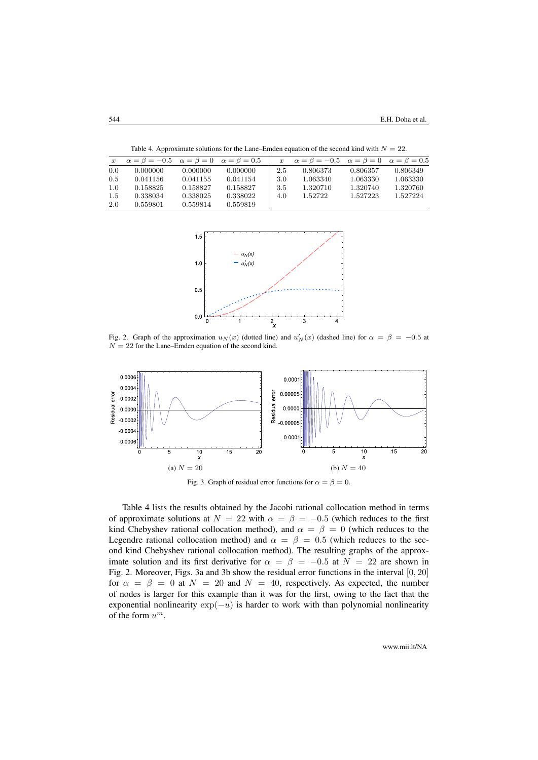<span id="page-7-1"></span><span id="page-7-0"></span>

| $\boldsymbol{x}$ | $\alpha = \beta = -0.5$ $\alpha = \beta = 0$ $\alpha = \beta = 0.5$ |          |          | $\boldsymbol{x}$ | $\alpha = \beta = -0.5$ $\alpha = \beta = 0$ $\alpha = \beta = 0.5$ |          |          |
|------------------|---------------------------------------------------------------------|----------|----------|------------------|---------------------------------------------------------------------|----------|----------|
| 0.0              | 0.000000                                                            | 0.000000 | 0.000000 | 2.5              | 0.806373                                                            | 0.806357 | 0.806349 |
| 0.5              | 0.041156                                                            | 0.041155 | 0.041154 | 3.0              | 1.063340                                                            | 1.063330 | 1.063330 |
| 1.0              | 0.158825                                                            | 0.158827 | 0.158827 | 3.5              | 1.320710                                                            | 1.320740 | 1.320760 |
| 1.5              | 0.338034                                                            | 0.338025 | 0.338022 | 4.0              | 1.52722                                                             | 1.527223 | 1.527224 |
| 2.0              | 0.559801                                                            | 0.559814 | 0.559819 |                  |                                                                     |          |          |

Table 4. Approximate solutions for the Lane–Emden equation of the second kind with  $N = 22$ .



Fig. 2. Graph of the approximation  $u_N(x)$  (dotted line) and  $u'_N(x)$  (dashed line) for  $\alpha = \beta = -0.5$  at  $N = 22$  for the Lane–Emden equation of the second kind.

<span id="page-7-2"></span>

Fig. 3. Graph of residual error functions for  $\alpha = \beta = 0$ .

Table [4](#page-7-0) lists the results obtained by the Jacobi rational collocation method in terms of approximate solutions at  $N = 22$  with  $\alpha = \beta = -0.5$  (which reduces to the first kind Chebyshev rational collocation method), and  $\alpha = \beta = 0$  (which reduces to the Legendre rational collocation method) and  $\alpha = \beta = 0.5$  (which reduces to the second kind Chebyshev rational collocation method). The resulting graphs of the approximate solution and its first derivative for  $\alpha = \beta = -0.5$  at  $N = 22$  are shown in Fig. [2.](#page-7-1) Moreover, Figs. [3a](#page-7-2) and [3b](#page-7-2) show the residual error functions in the interval  $[0, 20]$ for  $\alpha = \beta = 0$  at  $N = 20$  and  $N = 40$ , respectively. As expected, the number of nodes is larger for this example than it was for the first, owing to the fact that the exponential nonlinearity  $exp(-u)$  is harder to work with than polynomial nonlinearity of the form  $u^m$ .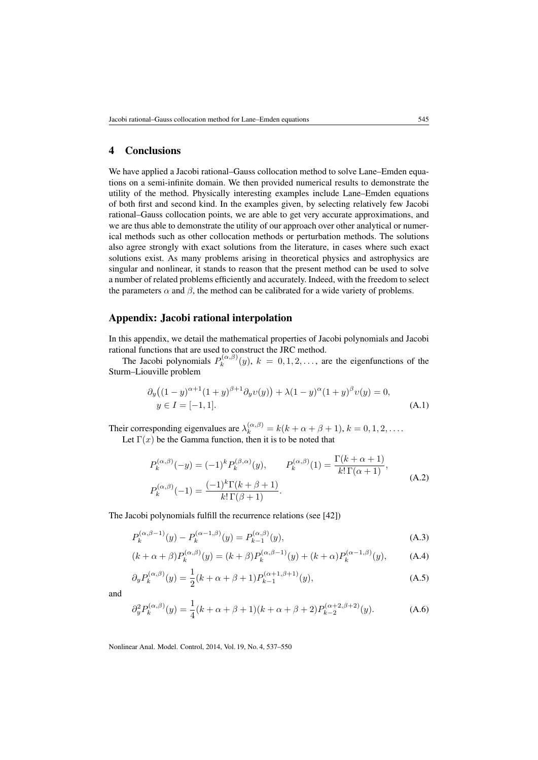# 4 Conclusions

We have applied a Jacobi rational–Gauss collocation method to solve Lane–Emden equations on a semi-infinite domain. We then provided numerical results to demonstrate the utility of the method. Physically interesting examples include Lane–Emden equations of both first and second kind. In the examples given, by selecting relatively few Jacobi rational–Gauss collocation points, we are able to get very accurate approximations, and we are thus able to demonstrate the utility of our approach over other analytical or numerical methods such as other collocation methods or perturbation methods. The solutions also agree strongly with exact solutions from the literature, in cases where such exact solutions exist. As many problems arising in theoretical physics and astrophysics are singular and nonlinear, it stands to reason that the present method can be used to solve a number of related problems efficiently and accurately. Indeed, with the freedom to select the parameters  $\alpha$  and  $\beta$ , the method can be calibrated for a wide variety of problems.

### Appendix: Jacobi rational interpolation

In this appendix, we detail the mathematical properties of Jacobi polynomials and Jacobi rational functions that are used to construct the JRC method.

The Jacobi polynomials  $P_k^{(\alpha,\beta)}$  $(k_k^{(\alpha,\beta)}(y), k = 0,1,2,...,$  are the eigenfunctions of the Sturm–Liouville problem

<span id="page-8-0"></span>
$$
\partial_y ((1-y)^{\alpha+1} (1+y)^{\beta+1} \partial_y v(y)) + \lambda (1-y)^{\alpha} (1+y)^{\beta} v(y) = 0,
$$
  
 
$$
y \in I = [-1,1].
$$
 (A.1)

Their corresponding eigenvalues are  $\lambda_k^{(\alpha,\beta)} = k(k+\alpha+\beta+1), k = 0, 1, 2, \dots$ . Let  $\Gamma(x)$  be the Gamma function, then it is to be noted that

$$
P_k^{(\alpha,\beta)}(-y) = (-1)^k P_k^{(\beta,\alpha)}(y), \qquad P_k^{(\alpha,\beta)}(1) = \frac{\Gamma(k+\alpha+1)}{k!\,\Gamma(\alpha+1)},
$$
  
\n
$$
P_k^{(\alpha,\beta)}(-1) = \frac{(-1)^k \Gamma(k+\beta+1)}{k!\,\Gamma(\beta+1)}.
$$
\n(A.2)

<span id="page-8-1"></span>The Jacobi polynomials fulfill the recurrence relations (see [\[42\]](#page-13-10))

$$
P_k^{(\alpha,\beta-1)}(y) - P_k^{(\alpha-1,\beta)}(y) = P_{k-1}^{(\alpha,\beta)}(y),
$$
\n(A.3)

$$
(k+\alpha+\beta)P_k^{(\alpha,\beta)}(y) = (k+\beta)P_k^{(\alpha,\beta-1)}(y) + (k+\alpha)P_k^{(\alpha-1,\beta)}(y), \quad (A.4)
$$

$$
\partial_y P_k^{(\alpha,\beta)}(y) = \frac{1}{2}(k+\alpha+\beta+1)P_{k-1}^{(\alpha+1,\beta+1)}(y),\tag{A.5}
$$

and

<span id="page-8-2"></span>
$$
\partial_y^2 P_k^{(\alpha,\beta)}(y) = \frac{1}{4}(k+\alpha+\beta+1)(k+\alpha+\beta+2)P_{k-2}^{(\alpha+2,\beta+2)}(y). \tag{A.6}
$$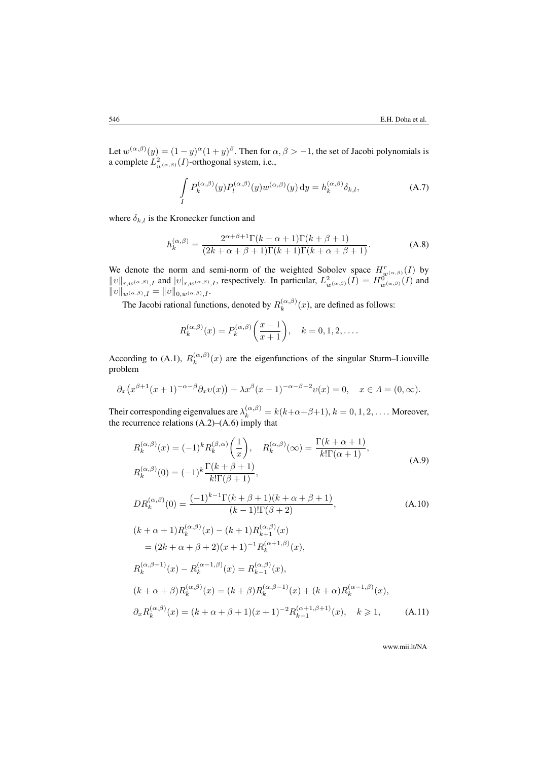Let  $w^{(\alpha,\beta)}(y) = (1-y)^{\alpha}(1+y)^{\beta}$ . Then for  $\alpha, \beta > -1$ , the set of Jacobi polynomials is a complete  $L^2_{w(\alpha,\beta)}(I)$ -orthogonal system, i.e.,

<span id="page-9-3"></span>
$$
\int_{I} P_k^{(\alpha,\beta)}(y) P_l^{(\alpha,\beta)}(y) w^{(\alpha,\beta)}(y) dy = h_k^{(\alpha,\beta)} \delta_{k,l},
$$
\n(A.7)

where  $\delta_{k,l}$  is the Kronecker function and

<span id="page-9-4"></span>
$$
h_k^{(\alpha,\beta)} = \frac{2^{\alpha+\beta+1}\Gamma(k+\alpha+1)\Gamma(k+\beta+1)}{(2k+\alpha+\beta+1)\Gamma(k+1)\Gamma(k+\alpha+\beta+1)}.
$$
 (A.8)

We denote the norm and semi-norm of the weighted Sobolev space  $H^r_{\mu\nu}(\alpha,\beta)}(I)$  by  $||v||_{r,w(\alpha,\beta)},$  and  $||v|_{r,w(\alpha,\beta)},$ , respectively. In particular,  $L^2_{w(\alpha,\beta)}(I) = H^0_{w(\alpha,\beta)}(I)$  and  $||v||_{w^{(\alpha,\beta)},I} = ||v||_{0,w^{(\alpha,\beta)},I}.$ 

The Jacobi rational functions, denoted by  $R_k^{(\alpha,\beta)}$  $\kappa_k^{(\alpha,\beta)}(x)$ , are defined as follows:

<span id="page-9-1"></span>
$$
R_k^{(\alpha,\beta)}(x) = P_k^{(\alpha,\beta)}\bigg(\frac{x-1}{x+1}\bigg), \quad k = 0, 1, 2, \dots
$$

According to [\(A.1\)](#page-8-0),  $R_k^{(\alpha,\beta)}$  $\binom{(\alpha,\beta)}{k}(x)$  are the eigenfunctions of the singular Sturm–Liouville problem

$$
\partial_x \big( x^{\beta+1}(x+1)^{-\alpha-\beta} \partial_x v(x) \big) + \lambda x^{\beta}(x+1)^{-\alpha-\beta-2} v(x) = 0, \quad x \in \Lambda = (0, \infty).
$$

Their corresponding eigenvalues are  $\lambda_k^{(\alpha,\beta)} = k(k+\alpha+\beta+1), k = 0, 1, 2, \dots$ . Moreover, the recurrence relations [\(A.2\)](#page-8-1)–[\(A.6\)](#page-8-2) imply that

<span id="page-9-2"></span><span id="page-9-0"></span>
$$
R_{k}^{(\alpha,\beta)}(x) = (-1)^{k} R_{k}^{(\beta,\alpha)}\left(\frac{1}{x}\right), \quad R_{k}^{(\alpha,\beta)}(\infty) = \frac{\Gamma(k+\alpha+1)}{k!\Gamma(\alpha+1)},
$$
  
\n
$$
R_{k}^{(\alpha,\beta)}(0) = (-1)^{k}\frac{\Gamma(k+\beta+1)}{k!\Gamma(\beta+1)},
$$
  
\n
$$
DR_{k}^{(\alpha,\beta)}(0) = \frac{(-1)^{k-1}\Gamma(k+\beta+1)(k+\alpha+\beta+1)}{(k-1)!\Gamma(\beta+2)},
$$
  
\n
$$
(k+\alpha+1)R_{k}^{(\alpha,\beta)}(x) - (k+1)R_{k+1}^{(\alpha,\beta)}(x)
$$
  
\n
$$
= (2k+\alpha+\beta+2)(x+1)^{-1}R_{k}^{(\alpha+1,\beta)}(x),
$$
  
\n
$$
R_{k}^{(\alpha,\beta-1)}(x) - R_{k}^{(\alpha-1,\beta)}(x) = R_{k-1}^{(\alpha,\beta)}(x),
$$
  
\n
$$
(k+\alpha+\beta)R_{k}^{(\alpha,\beta)}(x) = (k+\beta)R_{k}^{(\alpha,\beta-1)}(x) + (k+\alpha)R_{k}^{(\alpha-1,\beta)}(x),
$$
  
\n
$$
\partial_{x}R_{k}^{(\alpha,\beta)}(x) = (k+\alpha+\beta+1)(x+1)^{-2}R_{k-1}^{(\alpha+1,\beta+1)}(x), \quad k \ge 1,
$$
  
\n(A.11)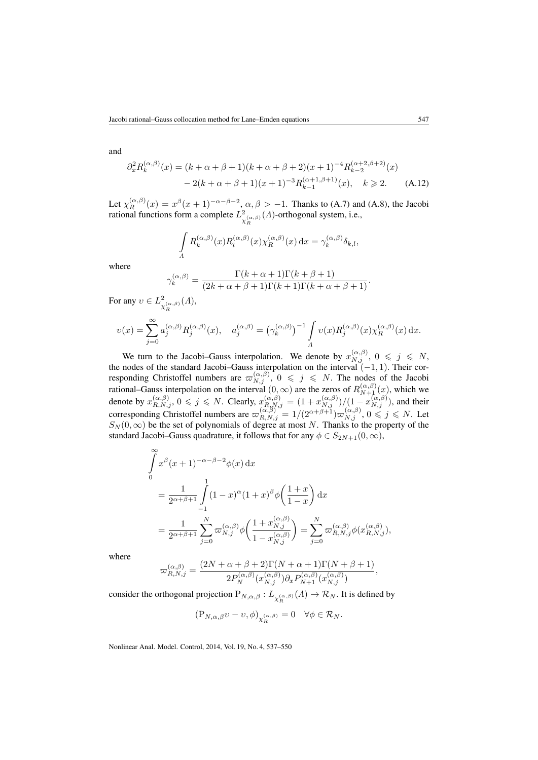and

$$
\partial_x^2 R_k^{(\alpha,\beta)}(x) = (k+\alpha+\beta+1)(k+\alpha+\beta+2)(x+1)^{-4} R_{k-2}^{(\alpha+2,\beta+2)}(x)
$$

$$
-2(k+\alpha+\beta+1)(x+1)^{-3} R_{k-1}^{(\alpha+1,\beta+1)}(x), \quad k \ge 2. \tag{A.12}
$$

Let  $\chi_R^{(\alpha,\beta)}(x) = x^{\beta}(x+1)^{-\alpha-\beta-2}, \alpha, \beta > -1$ . Thanks to [\(A.7\)](#page-9-3) and [\(A.8\)](#page-9-4), the Jacobi rational functions form a complete  $L^2$  $\frac{2}{\chi_R^{(\alpha,\beta)}}(A)$ -orthogonal system, i.e.,

<span id="page-10-0"></span>
$$
\int_{\Lambda} R_k^{(\alpha,\beta)}(x) R_l^{(\alpha,\beta)}(x) \chi_R^{(\alpha,\beta)}(x) dx = \gamma_k^{(\alpha,\beta)} \delta_{k,l},
$$

where

$$
\gamma_k^{(\alpha,\beta)} = \frac{\Gamma(k+\alpha+1)\Gamma(k+\beta+1)}{(2k+\alpha+\beta+1)\Gamma(k+1)\Gamma(k+\alpha+\beta+1)}.
$$

For any  $v \in L^2$  $\frac{2}{\chi_R^{(\alpha,\beta)}}(A),$ 

$$
\upsilon(x)=\sum_{j=0}^\infty a_j^{(\alpha,\beta)}R_j^{(\alpha,\beta)}(x),\quad a_j^{(\alpha,\beta)}=\left(\gamma_k^{(\alpha,\beta)}\right)^{-1}\int\limits_A\upsilon(x)R_j^{(\alpha,\beta)}(x)\chi_R^{(\alpha,\beta)}(x)\,\mathrm{d}x.
$$

We turn to the Jacobi–Gauss interpolation. We denote by  $x_{N,j}^{(\alpha,\beta)}$ ,  $0 \leqslant j \leqslant N$ , the nodes of the standard Jacobi–Gauss interpolation on the interval  $(-1, 1)$ . Their corresponding Christoffel numbers are  $\varpi_{N,j}^{(\alpha,\beta)}$ ,  $0 \leqslant j \leqslant N$ . The nodes of the Jacobi rational–Gauss interpolation on the interval  $(0, \infty)$  are the zeros of  $R_{N+1}^{(\alpha,\beta)}(x)$ , which we denote by  $x_{R,N,j}^{(\alpha,\beta)}, 0 \leqslant j \leqslant N$ . Clearly,  $x_{R,N,j}^{(\alpha,\beta)} = \frac{(1+x_{N,j}^{(\alpha,\beta)})}{(1-x_{N,j}^{(\alpha,\beta)})}$ , and their corresponding Christoffel numbers are  $\omega_{R,N,j}^{(\alpha,\beta)} = 1/(2^{\alpha+\beta+1})\omega_{N,j}^{(\alpha,\beta)}$ ,  $0 \leq z \leq N$ . Let  $S_N(0,\infty)$  be the set of polynomials of degree at most N. Thanks to the property of the standard Jacobi–Gauss quadrature, it follows that for any  $\phi \in S_{2N+1}(0,\infty)$ ,

$$
\int_{0}^{\infty} x^{\beta} (x+1)^{-\alpha-\beta-2} \phi(x) dx
$$
\n
$$
= \frac{1}{2^{\alpha+\beta+1}} \int_{-1}^{1} (1-x)^{\alpha} (1+x)^{\beta} \phi\left(\frac{1+x}{1-x}\right) dx
$$
\n
$$
= \frac{1}{2^{\alpha+\beta+1}} \sum_{j=0}^{N} \varpi_{N,j}^{(\alpha,\beta)} \phi\left(\frac{1+x_{N,j}^{(\alpha,\beta)}}{1-x_{N,j}^{(\alpha,\beta)}}\right) = \sum_{j=0}^{N} \varpi_{R,N,j}^{(\alpha,\beta)} \phi\left(x_{R,N,j}^{(\alpha,\beta)}\right),
$$

where

$$
\varpi_{R,N,j}^{(\alpha,\beta)} = \frac{(2N+\alpha+\beta+2)\Gamma(N+\alpha+1)\Gamma(N+\beta+1)}{2P_N^{(\alpha,\beta)}(x_{N,j}^{(\alpha,\beta)})\partial_x P_{N+1}^{(\alpha,\beta)}(x_{N,j}^{(\alpha,\beta)})},
$$

consider the orthogonal projection  $P_{N,\alpha,\beta}: L_{\chi_R^{(\alpha,\beta)}}(A) \to \mathcal{R}_N$ . It is defined by

$$
\big(\mathbf{P}_{N,\alpha,\beta}v-v,\phi\big)_{\chi_R^{(\alpha,\beta)}}=0\quad\forall\phi\in\mathcal{R}_N.
$$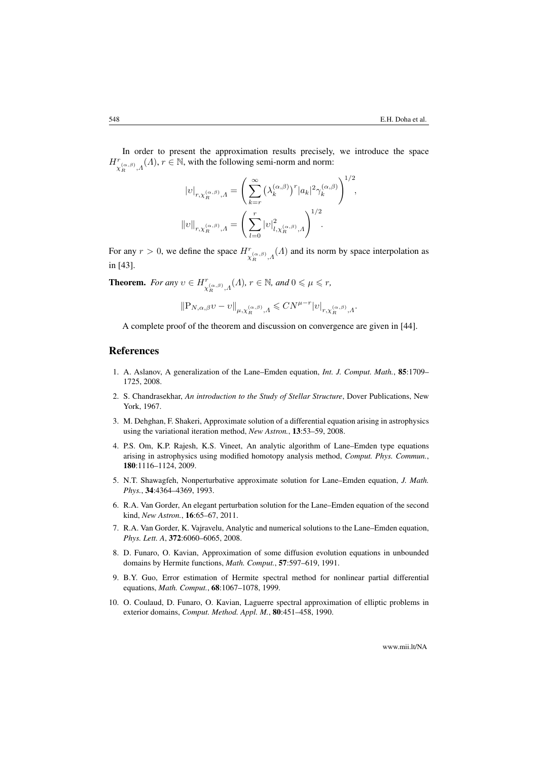In order to present the approximation results precisely, we introduce the space  $H^r_{\chi_R^{(\alpha,\beta)},\Lambda}(\Lambda), r \in \mathbb{N}$ , with the following semi-norm and norm:

$$
|v|_{r,\chi_R^{(\alpha,\beta)},A} = \left(\sum_{k=r}^{\infty} (\lambda_k^{(\alpha,\beta)})^r |a_k|^2 \gamma_k^{(\alpha,\beta)}\right)^{1/2},
$$

$$
||v||_{r,\chi_R^{(\alpha,\beta)},A} = \left(\sum_{l=0}^r |v|_{l,\chi_R^{(\alpha,\beta)},A}^2\right)^{1/2}.
$$

For any  $r > 0$ , we define the space  $H^{r}(\alpha, \beta), \Lambda(\Lambda)$  and its norm by space interpolation as in [\[43\]](#page-13-11).

**Theorem.** For any  $v \in H^r_{\chi_R^{(\alpha,\beta)},\Lambda}(\Lambda)$ ,  $r \in \mathbb{N}$ , and  $0 \le \mu \le r$ ,

$$
\| \mathbf P_{N,\alpha,\beta} v - v \|_{\mu,\chi_R^{(\alpha,\beta)},\varLambda} \leqslant C N^{\mu-r} |v|_{r,\chi_R^{(\alpha,\beta)},\varLambda}.
$$

A complete proof of the theorem and discussion on convergence are given in [\[44\]](#page-13-12).

# References

- <span id="page-11-0"></span>1. A. Aslanov, A generalization of the Lane–Emden equation, *Int. J. Comput. Math.*, 85:1709– 1725, 2008.
- 2. S. Chandrasekhar, *An introduction to the Study of Stellar Structure*, Dover Publications, New York, 1967.
- 3. M. Dehghan, F. Shakeri, Approximate solution of a differential equation arising in astrophysics using the variational iteration method, *New Astron.*, 13:53–59, 2008.
- 4. P.S. Om, K.P. Rajesh, K.S. Vineet, An analytic algorithm of Lane–Emden type equations arising in astrophysics using modified homotopy analysis method, *Comput. Phys. Commun.*, 180:1116–1124, 2009.
- <span id="page-11-5"></span>5. N.T. Shawagfeh, Nonperturbative approximate solution for Lane–Emden equation, *J. Math. Phys.*, 34:4364–4369, 1993.
- 6. R.A. Van Gorder, An elegant perturbation solution for the Lane–Emden equation of the second kind, *New Astron.*, 16:65–67, 2011.
- <span id="page-11-1"></span>7. R.A. Van Gorder, K. Vajravelu, Analytic and numerical solutions to the Lane–Emden equation, *Phys. Lett. A*, 372:6060–6065, 2008.
- <span id="page-11-2"></span>8. D. Funaro, O. Kavian, Approximation of some diffusion evolution equations in unbounded domains by Hermite functions, *Math. Comput.*, 57:597–619, 1991.
- <span id="page-11-3"></span>9. B.Y. Guo, Error estimation of Hermite spectral method for nonlinear partial differential equations, *Math. Comput.*, 68:1067–1078, 1999.
- <span id="page-11-4"></span>10. O. Coulaud, D. Funaro, O. Kavian, Laguerre spectral approximation of elliptic problems in exterior domains, *Comput. Method. Appl. M.*, 80:451–458, 1990.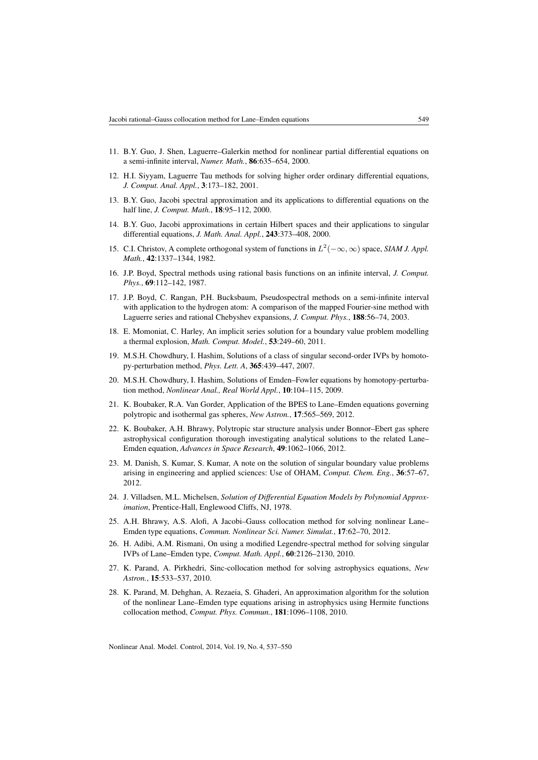- 11. B.Y. Guo, J. Shen, Laguerre–Galerkin method for nonlinear partial differential equations on a semi-infinite interval, *Numer. Math.*, 86:635–654, 2000.
- <span id="page-12-0"></span>12. H.I. Siyyam, Laguerre Tau methods for solving higher order ordinary differential equations, *J. Comput. Anal. Appl.*, 3:173–182, 2001.
- <span id="page-12-1"></span>13. B.Y. Guo, Jacobi spectral approximation and its applications to differential equations on the half line, *J. Comput. Math.*, 18:95–112, 2000.
- <span id="page-12-2"></span>14. B.Y. Guo, Jacobi approximations in certain Hilbert spaces and their applications to singular differential equations, *J. Math. Anal. Appl.*, 243:373–408, 2000.
- <span id="page-12-3"></span>15. C.I. Christov, A complete orthogonal system of functions in  $L^2(-\infty, \infty)$  space, *SIAM J. Appl. Math.*, 42:1337–1344, 1982.
- 16. J.P. Boyd, Spectral methods using rational basis functions on an infinite interval, *J. Comput. Phys.*, 69:112–142, 1987.
- <span id="page-12-4"></span>17. J.P. Boyd, C. Rangan, P.H. Bucksbaum, Pseudospectral methods on a semi-infinite interval with application to the hydrogen atom: A comparison of the mapped Fourier-sine method with Laguerre series and rational Chebyshev expansions, *J. Comput. Phys.*, 188:56–74, 2003.
- <span id="page-12-5"></span>18. E. Momoniat, C. Harley, An implicit series solution for a boundary value problem modelling a thermal explosion, *Math. Comput. Model.*, 53:249–60, 2011.
- <span id="page-12-6"></span>19. M.S.H. Chowdhury, I. Hashim, Solutions of a class of singular second-order IVPs by homotopy-perturbation method, *Phys. Lett. A*, 365:439–447, 2007.
- <span id="page-12-7"></span>20. M.S.H. Chowdhury, I. Hashim, Solutions of Emden–Fowler equations by homotopy-perturbation method, *Nonlinear Anal., Real World Appl.*, 10:104–115, 2009.
- <span id="page-12-8"></span>21. K. Boubaker, R.A. Van Gorder, Application of the BPES to Lane–Emden equations governing polytropic and isothermal gas spheres, *New Astron.*, 17:565–569, 2012.
- <span id="page-12-9"></span>22. K. Boubaker, A.H. Bhrawy, Polytropic star structure analysis under Bonnor–Ebert gas sphere astrophysical configuration thorough investigating analytical solutions to the related Lane– Emden equation, *Advances in Space Research*, 49:1062–1066, 2012.
- <span id="page-12-10"></span>23. M. Danish, S. Kumar, S. Kumar, A note on the solution of singular boundary value problems arising in engineering and applied sciences: Use of OHAM, *Comput. Chem. Eng.*, 36:57–67, 2012.
- <span id="page-12-11"></span>24. J. Villadsen, M.L. Michelsen, *Solution of Differential Equation Models by Polynomial Approximation*, Prentice-Hall, Englewood Cliffs, NJ, 1978.
- <span id="page-12-12"></span>25. A.H. Bhrawy, A.S. Alofi, A Jacobi–Gauss collocation method for solving nonlinear Lane– Emden type equations, *Commun. Nonlinear Sci. Numer. Simulat.*, 17:62–70, 2012.
- <span id="page-12-13"></span>26. H. Adibi, A.M. Rismani, On using a modified Legendre-spectral method for solving singular IVPs of Lane–Emden type, *Comput. Math. Appl.*, 60:2126–2130, 2010.
- <span id="page-12-14"></span>27. K. Parand, A. Pirkhedri, Sinc-collocation method for solving astrophysics equations, *New Astron.*, 15:533–537, 2010.
- <span id="page-12-15"></span>28. K. Parand, M. Dehghan, A. Rezaeia, S. Ghaderi, An approximation algorithm for the solution of the nonlinear Lane–Emden type equations arising in astrophysics using Hermite functions collocation method, *Comput. Phys. Commun.*, 181:1096–1108, 2010.